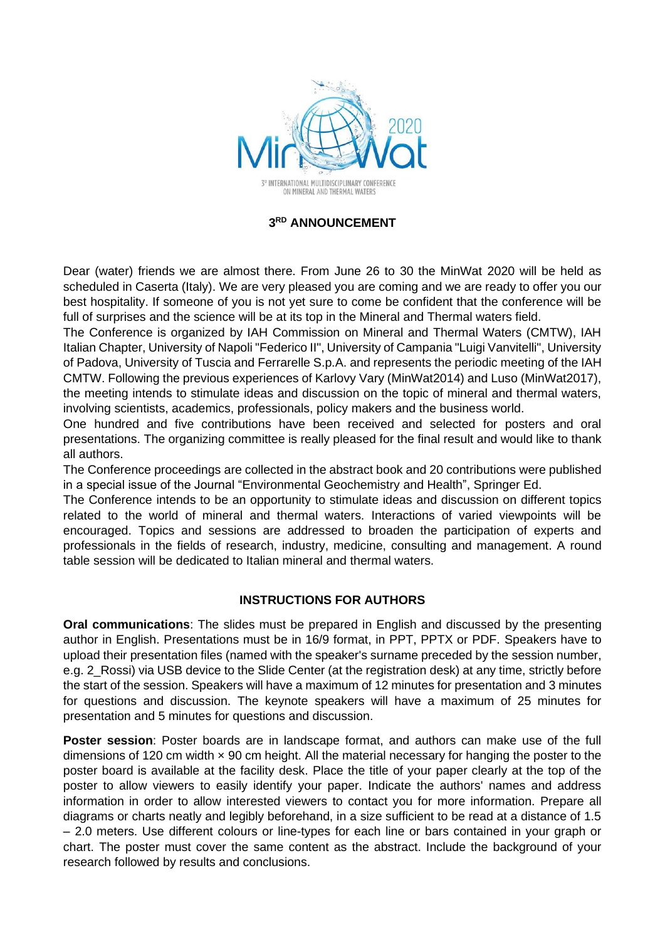

## **3 RD ANNOUNCEMENT**

Dear (water) friends we are almost there. From June 26 to 30 the MinWat 2020 will be held as scheduled in Caserta (Italy). We are very pleased you are coming and we are ready to offer you our best hospitality. If someone of you is not yet sure to come be confident that the conference will be full of surprises and the science will be at its top in the Mineral and Thermal waters field.

The Conference is organized by IAH Commission on Mineral and Thermal Waters (CMTW), IAH Italian Chapter, University of Napoli "Federico II", University of Campania "Luigi Vanvitelli", University of Padova, University of Tuscia and Ferrarelle S.p.A. and represents the periodic meeting of the IAH CMTW. Following the previous experiences of Karlovy Vary (MinWat2014) and Luso (MinWat2017), the meeting intends to stimulate ideas and discussion on the topic of mineral and thermal waters, involving scientists, academics, professionals, policy makers and the business world.

One hundred and five contributions have been received and selected for posters and oral presentations. The organizing committee is really pleased for the final result and would like to thank all authors.

The Conference proceedings are collected in the abstract book and 20 contributions were published in a special issue of the Journal "Environmental Geochemistry and Health", Springer Ed.

The Conference intends to be an opportunity to stimulate ideas and discussion on different topics related to the world of mineral and thermal waters. Interactions of varied viewpoints will be encouraged. Topics and sessions are addressed to broaden the participation of experts and professionals in the fields of research, industry, medicine, consulting and management. A round table session will be dedicated to Italian mineral and thermal waters.

## **INSTRUCTIONS FOR AUTHORS**

**Oral communications**: The slides must be prepared in English and discussed by the presenting author in English. Presentations must be in 16/9 format, in PPT, PPTX or PDF. Speakers have to upload their presentation files (named with the speaker's surname preceded by the session number, e.g. 2\_Rossi) via USB device to the Slide Center (at the registration desk) at any time, strictly before the start of the session. Speakers will have a maximum of 12 minutes for presentation and 3 minutes for questions and discussion. The keynote speakers will have a maximum of 25 minutes for presentation and 5 minutes for questions and discussion.

**Poster session**: Poster boards are in landscape format, and authors can make use of the full dimensions of 120 cm width  $\times$  90 cm height. All the material necessary for hanging the poster to the poster board is available at the facility desk. Place the title of your paper clearly at the top of the poster to allow viewers to easily identify your paper. Indicate the authors' names and address information in order to allow interested viewers to contact you for more information. Prepare all diagrams or charts neatly and legibly beforehand, in a size sufficient to be read at a distance of 1.5 – 2.0 meters. Use different colours or line-types for each line or bars contained in your graph or chart. The poster must cover the same content as the abstract. Include the background of your research followed by results and conclusions.